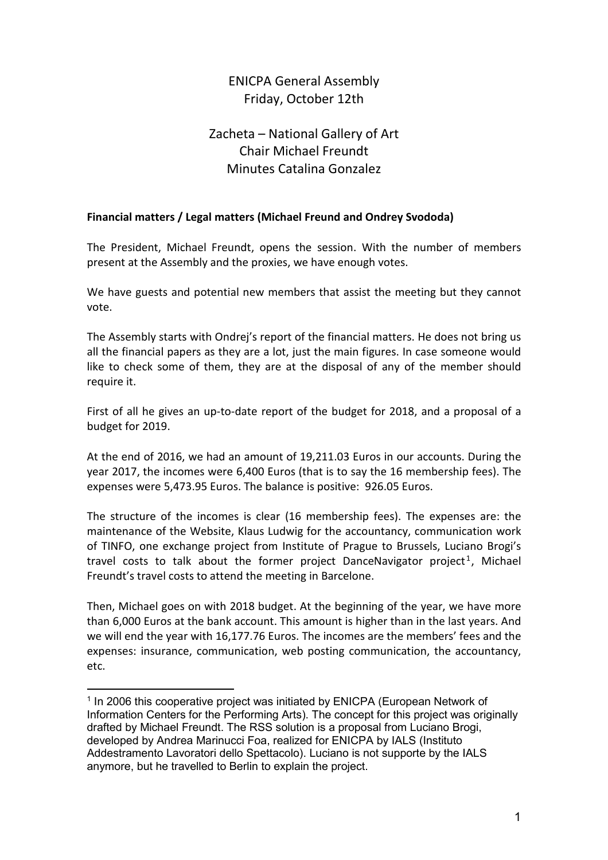# ENICPA General Assembly Friday, October 12th

# Zacheta – National Gallery of Art Chair Michael Freundt Minutes Catalina Gonzalez

## **Financial matters / Legal matters (Michael Freund and Ondrey Svododa)**

The President, Michael Freundt, opens the session. With the number of members present at the Assembly and the proxies, we have enough votes.

We have guests and potential new members that assist the meeting but they cannot vote.

The Assembly starts with Ondrej's report of the financial matters. He does not bring us all the financial papers as they are a lot, just the main figures. In case someone would like to check some of them, they are at the disposal of any of the member should require it.

First of all he gives an up-to-date report of the budget for 2018, and a proposal of a budget for 2019.

At the end of 2016, we had an amount of 19,211.03 Euros in our accounts. During the year 2017, the incomes were 6,400 Euros (that is to say the 16 membership fees). The expenses were 5,473.95 Euros. The balance is positive: 926.05 Euros.

The structure of the incomes is clear (16 membership fees). The expenses are: the maintenance of the Website, Klaus Ludwig for the accountancy, communication work of TINFO, one exchange project from Institute of Prague to Brussels, Luciano Brogi's travel costs to talk about the former project DanceNavigator project<sup>[1](#page-0-0)</sup>, Michael Freundt's travel costs to attend the meeting in Barcelone.

Then, Michael goes on with 2018 budget. At the beginning of the year, we have more than 6,000 Euros at the bank account. This amount is higher than in the last years. And we will end the year with 16,177.76 Euros. The incomes are the members' fees and the expenses: insurance, communication, web posting communication, the accountancy, etc.

 $\overline{a}$ 

<span id="page-0-0"></span><sup>&</sup>lt;sup>1</sup> In 2006 this cooperative project was initiated by ENICPA (European Network of Information Centers for the Performing Arts). The concept for this project was originally drafted by Michael Freundt. The RSS solution is a proposal from Luciano Brogi, developed by Andrea Marinucci Foa, realized for ENICPA by IALS (Instituto Addestramento Lavoratori dello Spettacolo). Luciano is not supporte by the IALS anymore, but he travelled to Berlin to explain the project.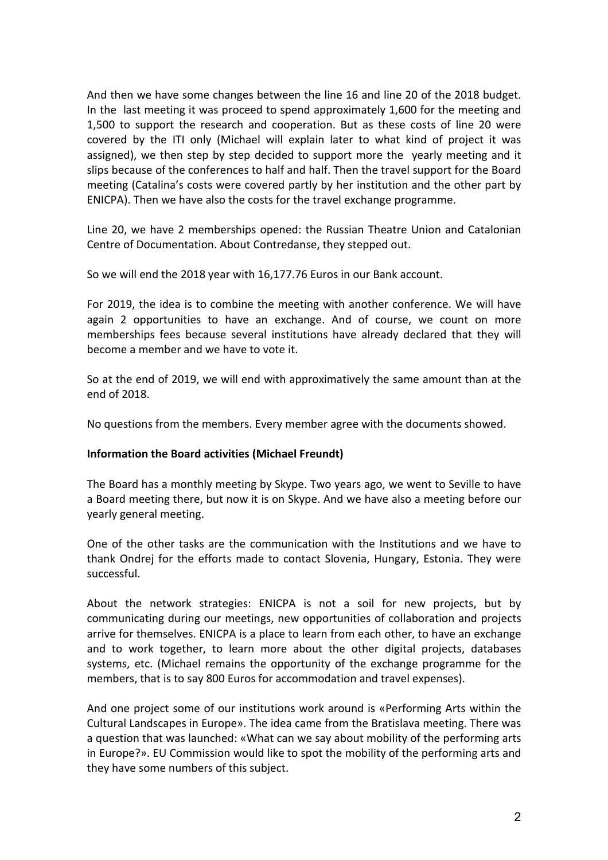And then we have some changes between the line 16 and line 20 of the 2018 budget. In the last meeting it was proceed to spend approximately 1,600 for the meeting and 1,500 to support the research and cooperation. But as these costs of line 20 were covered by the ITI only (Michael will explain later to what kind of project it was assigned), we then step by step decided to support more the yearly meeting and it slips because of the conferences to half and half. Then the travel support for the Board meeting (Catalina's costs were covered partly by her institution and the other part by ENICPA). Then we have also the costs for the travel exchange programme.

Line 20, we have 2 memberships opened: the Russian Theatre Union and Catalonian Centre of Documentation. About Contredanse, they stepped out.

So we will end the 2018 year with 16,177.76 Euros in our Bank account.

For 2019, the idea is to combine the meeting with another conference. We will have again 2 opportunities to have an exchange. And of course, we count on more memberships fees because several institutions have already declared that they will become a member and we have to vote it.

So at the end of 2019, we will end with approximatively the same amount than at the end of 2018.

No questions from the members. Every member agree with the documents showed.

#### **Information the Board activities (Michael Freundt)**

The Board has a monthly meeting by Skype. Two years ago, we went to Seville to have a Board meeting there, but now it is on Skype. And we have also a meeting before our yearly general meeting.

One of the other tasks are the communication with the Institutions and we have to thank Ondrej for the efforts made to contact Slovenia, Hungary, Estonia. They were successful.

About the network strategies: ENICPA is not a soil for new projects, but by communicating during our meetings, new opportunities of collaboration and projects arrive for themselves. ENICPA is a place to learn from each other, to have an exchange and to work together, to learn more about the other digital projects, databases systems, etc. (Michael remains the opportunity of the exchange programme for the members, that is to say 800 Euros for accommodation and travel expenses).

And one project some of our institutions work around is «Performing Arts within the Cultural Landscapes in Europe». The idea came from the Bratislava meeting. There was a question that was launched: «What can we say about mobility of the performing arts in Europe?». EU Commission would like to spot the mobility of the performing arts and they have some numbers of this subject.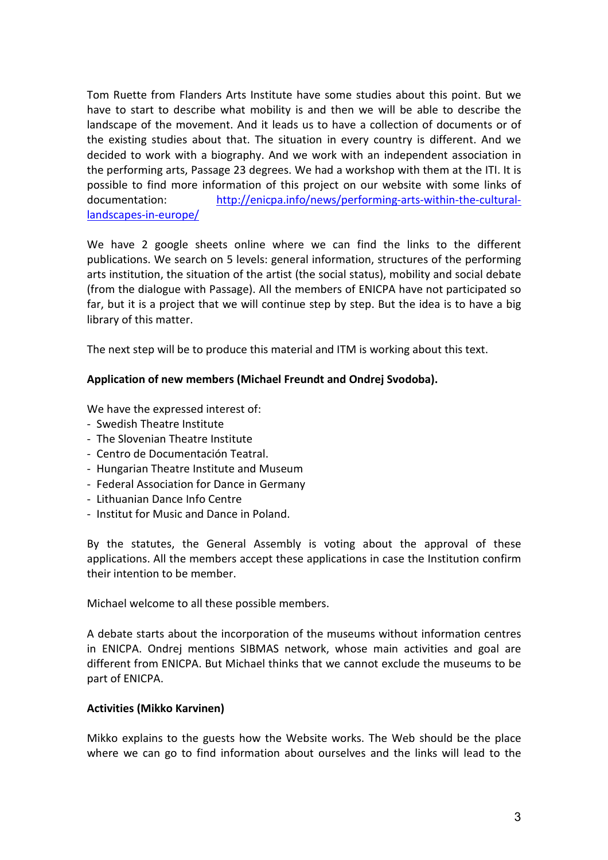Tom Ruette from Flanders Arts Institute have some studies about this point. But we have to start to describe what mobility is and then we will be able to describe the landscape of the movement. And it leads us to have a collection of documents or of the existing studies about that. The situation in every country is different. And we decided to work with a biography. And we work with an independent association in the performing arts, Passage 23 degrees. We had a workshop with them at the ITI. It is possible to find more information of this project on our website with some links of documentation: [http://enicpa.info/news/performing-arts-within-the-cultural](http://enicpa.info/news/performing-arts-within-the-cultural-landscapes-in-europe/)[landscapes-in-europe/](http://enicpa.info/news/performing-arts-within-the-cultural-landscapes-in-europe/)

We have 2 google sheets online where we can find the links to the different publications. We search on 5 levels: general information, structures of the performing arts institution, the situation of the artist (the social status), mobility and social debate (from the dialogue with Passage). All the members of ENICPA have not participated so far, but it is a project that we will continue step by step. But the idea is to have a big library of this matter.

The next step will be to produce this material and ITM is working about this text.

### **Application of new members (Michael Freundt and Ondrej Svodoba).**

We have the expressed interest of:

- Swedish Theatre Institute
- The Slovenian Theatre Institute
- Centro de Documentación Teatral.
- Hungarian Theatre Institute and Museum
- Federal Association for Dance in Germany
- Lithuanian Dance Info Centre
- Institut for Music and Dance in Poland.

By the statutes, the General Assembly is voting about the approval of these applications. All the members accept these applications in case the Institution confirm their intention to be member.

Michael welcome to all these possible members.

A debate starts about the incorporation of the museums without information centres in ENICPA. Ondrej mentions SIBMAS network, whose main activities and goal are different from ENICPA. But Michael thinks that we cannot exclude the museums to be part of ENICPA.

#### **Activities (Mikko Karvinen)**

Mikko explains to the guests how the Website works. The Web should be the place where we can go to find information about ourselves and the links will lead to the